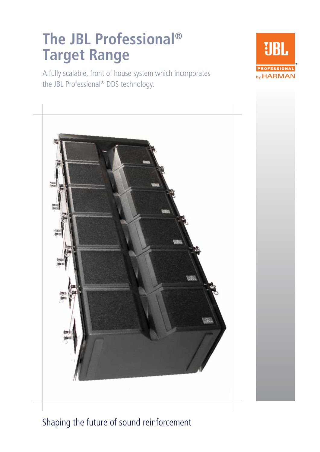# **The JBL Professional® Target Range**

A fully scalable, front of house system which incorporates the JBL Professional® DDS technology.





Shaping the future of sound reinforcement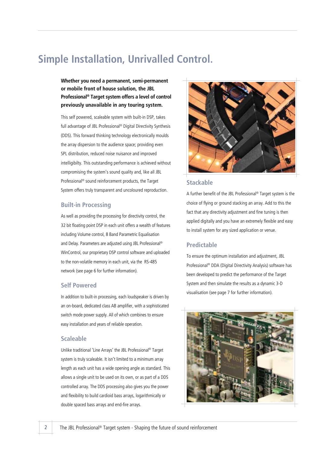## **Simple Installation, Unrivalled Control.**

## **Whether you need a permanent, semi-permanent or mobile front of house solution, the JBL Professional® Target system offers a level of control previously unavailable in any touring system.**

This self powered, scaleable system with built-in DSP, takes full advantage of JBL Professional® Digital Directivity Synthesis (DDS). This forward thinking technology electronically moulds the array dispersion to the audience space; providing even SPL distribution, reduced noise nuisance and improved intelligibilty. This outstanding performance is achieved without compromising the system's sound quality and, like all JBL Professional® sound reinforcement products, the Target System offers truly transparent and uncoloured reproduction.

#### **Built-in Processing**

As well as providing the processing for directivity control, the 32 bit floating point DSP in each unit offers a wealth of features including Volume control, 8 Band Parametric Equalisation and Delay. Parameters are adjusted using JBL Professional® WinControl, our proprietary DSP control software and uploaded to the non-volatile memory in each unit, via the RS-485 network (see page 6 for further information).

### **Self Powered**

In addition to built-in processing, each loudspeaker is driven by an on-board, dedicated class AB amplifier, with a sophisticated switch mode power supply. All of which combines to ensure easy installation and years of reliable operation.

#### **Scaleable**

Unlike traditional 'Line Arrays' the JBL Professional® Target system is truly scaleable. It isn't limited to a minimum array length as each unit has a wide opening angle as standard. This allows a single unit to be used on its own, or as part of a DDS controlled array. The DDS processing also gives you the power and flexibility to build cardioid bass arrays, logarithmically or double spaced bass arrays and end-fire arrays.

![](_page_1_Picture_9.jpeg)

### **Stackable**

A further benefit of the JBL Professional® Target system is the choice of flying or ground stacking an array. Add to this the fact that any directivity adjustment and fine tuning is then applied digitally and you have an extremely flexible and easy to install system for any sized application or venue.

### **Predictable**

To ensure the optimum installation and adjustment, JBL Professional® DDA (Digital Directivity Analysis) software has been developed to predict the performance of the Target System and then simulate the results as a dynamic 3-D visualisation (see page 7 for further information).

![](_page_1_Picture_14.jpeg)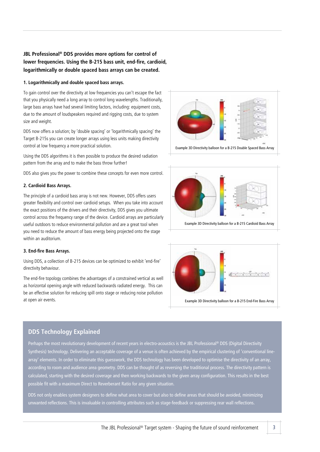## **JBL Professional® DDS provides more options for control of lower frequencies. Using the B-215 bass unit, end-fire, cardioid, logarithmically or double spaced bass arrays can be created.**

#### **1. Logarithmically and double spaced bass arrays.**

To gain control over the directivity at low frequencies you can't escape the fact that you physically need a long array to control long wavelengths. Traditionally, large bass arrays have had several limiting factors, including: equipment costs, due to the amount of loudspeakers required and rigging costs, due to system size and weight.

DDS now offers a solution; by 'double spacing' or 'logarithmically spacing' the Target B-215s you can create longer arrays using less units making directivity control at low frequency a more practical solution.

Using the DDS algorithms it is then possible to produce the desired radiation pattern from the array and to make the bass throw further!

DDS also gives you the power to combine these concepts for even more control.

#### **2. Cardioid Bass Arrays.**

The principle of a cardioid bass array is not new. However, DDS offers users greater flexibility and control over cardioid setups. When you take into account the exact positions of the drivers and their directivity, DDS gives you ultimate control across the frequency range of the device. Cardioid arrays are particularly useful outdoors to reduce environmental pollution and are a great tool when you need to reduce the amount of bass energy being projected onto the stage within an auditorium.

#### **3. End-fire Bass Arrays.**

Using DDS, a collection of B-215 devices can be optimized to exhibit 'end-fire' directivity behaviour.

The end-fire topology combines the advantages of a constrained vertical as well as horizontal opening angle with reduced backwards radiated energy. This can be an effective solution for reducing spill onto stage or reducing noise pollution at open air events.

![](_page_2_Figure_11.jpeg)

Example 3D Directivity balloon for a B-215 Double Spaced Bass Array

![](_page_2_Figure_13.jpeg)

![](_page_2_Figure_14.jpeg)

### **DDS Technology Explained**

Perhaps the most revolutionary development of recent years in electro-acoustics is the JBL Professional® DDS (Digital Directivity Synthesis) technology. Delivering an acceptable coverage of a venue is often achieved by the empirical clustering of 'conventional linearray' elements. In order to eliminate this guesswork, the DDS technology has been developed to optimise the directivity of an array, according to room and audience area geometry. DDS can be thought of as reversing the traditional process. The directivity pattern is calculated, starting with the desired coverage and then working backwards to the given array configuration. This results in the best possible fit with a maximum Direct to Reverberant Ratio for any given situation.

DDS not only enables system designers to define what area to cover but also to define areas that should be avoided, minimizing unwanted reflections. This is invaluable in controlling attributes such as stage-feedback or suppressing rear wall reflections.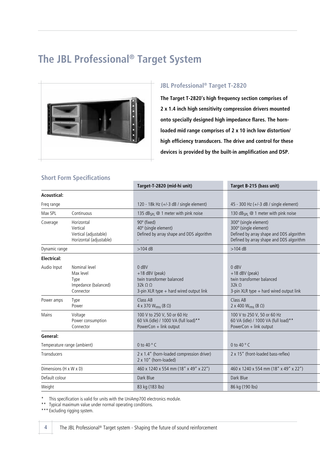## **The JBL Professional® Target System**

![](_page_3_Picture_1.jpeg)

## **JBL Professional® Target T-2820**

**The Target T-2820's high frequency section comprises of 2 x 1.4 inch high sensitivity compression drivers mounted onto specially designed high impedance flares. The hornloaded mid range comprises of 2 x 10 inch low distortion/ high efficiency transducers. The drive and control for these devices is provided by the built-in amplification and DSP.**

## **Short Form Specifications**

|                             |                                                                            | Target-T-2820 (mid-hi unit)                                                                                                      | Target B-215 (bass unit)                                                                                                               |
|-----------------------------|----------------------------------------------------------------------------|----------------------------------------------------------------------------------------------------------------------------------|----------------------------------------------------------------------------------------------------------------------------------------|
| <b>Acoustical:</b>          |                                                                            |                                                                                                                                  |                                                                                                                                        |
| Freq range                  |                                                                            | 120 - 18 $k$ Hz (+/-3 dB / single element)                                                                                       | 45 - 300 Hz ( $+/-3$ dB / single element)                                                                                              |
| Max SPL                     | Continuous                                                                 | 135 $dB_{SPI} \n\otimes 1$ meter with pink noise                                                                                 | 130 $dB_{SPI} \n\otimes 1$ meter with pink noise                                                                                       |
| Coverage                    | Horizontal<br>Vertical<br>Vertical (adjustable)<br>Horizontal (adjustable) | 90° (fixed)<br>40° (single element)<br>Defined by array shape and DDS algorithm                                                  | 300° (single element)<br>300° (single element)<br>Defined by array shape and DDS algorithm<br>Defined by array shape and DDS algorithm |
| Dynamic range               |                                                                            | $>104$ dB                                                                                                                        | $>104$ dB                                                                                                                              |
| <b>Electrical:</b>          |                                                                            |                                                                                                                                  |                                                                                                                                        |
| Audio Input                 | Nominal level<br>Max level<br>Type<br>Impedance (balanced)<br>Connector    | $0$ dBV<br>$+18$ dBV (peak)<br>twin transformer balanced<br>$32k$ $\Omega$ $\Omega$<br>3-pin XLR type $+$ hard wired output link | $0$ dBV<br>$+18$ dBV (peak)<br>twin transformer balanced<br>$32k\Omega$<br>3-pin XLR type $+$ hard wired output link                   |
| Power amps                  | Type<br>Power                                                              | Class AB<br>4 x 370 W <sub>rms</sub> (8 Ω)                                                                                       | Class AB<br>2 x 400 $W_{rms}$ (8 $\Omega$ )                                                                                            |
| Mains                       | Voltage<br>Power consumption<br>Connector                                  | 100 V to 250 V, 50 or 60 Hz<br>60 VA (idle) / 1000 VA (full load)**<br>PowerCon + link output                                    | 100 V to 250 V, 50 or 60 Hz<br>60 VA (idle) / 1000 VA (full load)**<br>PowerCon + link output                                          |
| General:                    |                                                                            |                                                                                                                                  |                                                                                                                                        |
| Temperature range (ambient) |                                                                            | 0 to 40 $^{\circ}$ C                                                                                                             | 0 to 40 $^{\circ}$ C                                                                                                                   |
| Transducers                 |                                                                            | 2 x 1.4" (horn-loaded compression driver)<br>2 x 10" (horn-loaded)                                                               | 2 x 15" (front-loaded bass-reflex)                                                                                                     |
| Dimensions (H x W x D)      |                                                                            | 460 x 1240 x 554 mm (18" x 49" x 22")                                                                                            | 460 x 1240 x 554 mm (18" x 49" x 22")                                                                                                  |
| Default colour              |                                                                            | Dark Blue                                                                                                                        | Dark Blue                                                                                                                              |
| Weight                      |                                                                            | 83 kg (183 lbs)                                                                                                                  | 86 kg (190 lbs)                                                                                                                        |
|                             |                                                                            |                                                                                                                                  |                                                                                                                                        |

This specification is valid for units with the UniAmp700 electronics module.

\*\* Typical maximum value under normal operating conditions.

\*\*\* Excluding rigging system.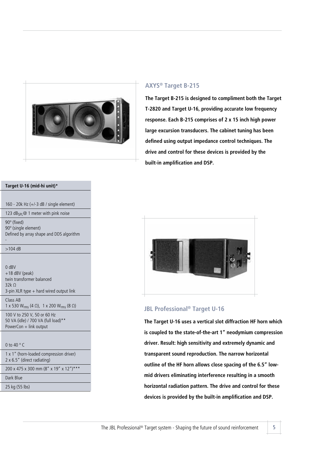![](_page_4_Picture_0.jpeg)

#### **Target U-16 (mid-hi unit) \***

| 160 | 20 $k$ Hz $(+/-3$ dB / single element) |
|-----|----------------------------------------|
|-----|----------------------------------------|

123 dB<sub>SPL</sub> @ 1 meter with pink noise

 $90^\circ$  (fixed) 90° (single element) Defined by array shape and DDS algorithm

 $>104$  dB

 $\mathbb{R}^d$ 

 $\overline{\phantom{a}}$  0 dBV  $+18$  dBV (peak) twin transformer balanced  $32k$  Ω 3-pin XLR type + hard wired output link **Class AB** 

1 x 530 W<sub>rms</sub> (4 Ω), 1 x 200 W<sub>rms</sub> (8 Ω)

100 V to 250 V, 50 or 60 Hz 50 VA (idle) / 700 VA (full load)\*\* PowerCon + link output

 $\sim$  0 to 40  $\rm ^{\circ}$  C

| 1 x 1" (horn-loaded compression driver)<br>$2 \times 6.5$ " (direct radiating) |
|--------------------------------------------------------------------------------|
| 200 x 475 x 300 mm (8" x 19" x 12")***                                         |
| Dark Blue                                                                      |

25 kg (55 lbs)

### **AXYS® Target B-215**

**The Target B-215 is designed to compliment both the Target T-2820 and Target U-16, providing accurate low frequency response. Each B-215 comprises of 2 x 15 inch high power large excursion transducers. The cabinet tuning has been defined using output impedance control techniques. The drive and control for these devices is provided by the built-in amplification and DSP.**

![](_page_4_Picture_14.jpeg)

## **JBL Professional® Target U-16**

**The Target U-16 uses a vertical slot diffraction HF horn which is coupled to the state-of-the-art 1" neodymium compression driver. Result: high sensitivity and extremely dynamic and transparent sound reproduction. The narrow horizontal outline of the HF horn allows close spacing of the 6.5" lowmid drivers eliminating interference resulting in a smooth horizontal radiation pattern. The drive and control for these devices is provided by the built-in amplification and DSP.**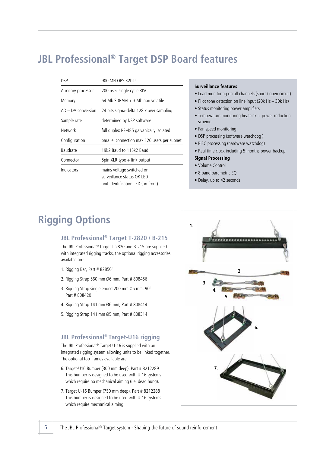## **JBL Professional® Target DSP Board features**

| DSP                  | 900 MFLOPS 32bits                                                                             |
|----------------------|-----------------------------------------------------------------------------------------------|
| Auxiliary processor  | 200 nsec single cycle RISC                                                                    |
| Memory               | 64 Mb SDRAM $+$ 3 Mb non volatile                                                             |
| $AD - DA$ conversion | 24 bits sigma-delta 128 x over sampling                                                       |
| Sample rate          | determined by DSP software                                                                    |
| Network              | full duplex RS-485 galvanically isolated                                                      |
| Configuration        | parallel connection max 126 users per subnet                                                  |
| Baudrate             | 19k2 Raud to 115k2 Baud                                                                       |
| Connector            | 5pin XLR type + link output                                                                   |
| Indicators           | mains voltage switched on<br>surveillance status OK LED<br>unit identification LED (on front) |

#### **Surveillance features**

- Load monitoring on all channels (short / open circuit)
- Pilot tone detection on line input (20k Hz 30k Hz)
- Status monitoring power amplifiers
- Temperature monitoring heatsink + power reduction scheme
- Fan speed monitoring
- DSP processing (software watchdog )
- RISC processing (hardware watchdog)
- Real time clock including 5 months power backup
- **Signal Processing**
- Volume Control
- 8 band parametric EQ
- Delay, up to 42 seconds

## **Rigging Options**

#### **JBL Professional® Target T-2820 / B-215**

The JBL Professional® Target T-2820 and B-215 are supplied with integrated rigging tracks, the optional rigging accessories available are:

- 1. Rigging Bar, Part # 828501
- 2. Rigging Strap 560 mm Ø6 mm, Part # 808456
- 3. Rigging Strap single ended 200 mm Ø6 mm, 90º Part # 808420
- 4. Rigging Strap 141 mm Ø6 mm, Part # 808414
- 5. Rigging Strap 141 mm Ø5 mm, Part # 808314

#### **JBL Professional® Target-U16 rigging**

The JBL Professional® Target U-16 is supplied with an integrated rigging system allowing units to be linked together. The optional top-frames available are:

- 6. Target-U16 Bumper (300 mm deep), Part # 8212289 This bumper is designed to be used with U-16 systems which require no mechanical aiming (i.e. dead hung).
- 7. Target U-16 Bumper (750 mm deep), Part # 8212288 This bumper is designed to be used with U-16 systems which require mechanical aiming.

![](_page_5_Figure_27.jpeg)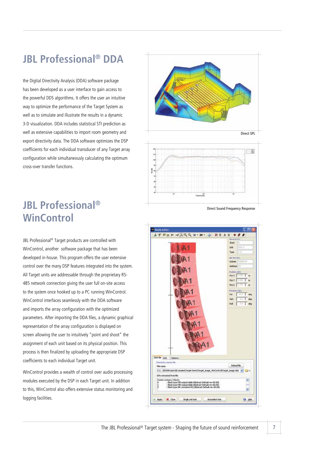## **JBL Professional® DDA**

the Digital Directivity Analysis (DDA) software package has been developed as a user interface to gain access to the powerful DDS algorithms. It offers the user an intuitive way to optimize the performance of the Target System as well as to simulate and illustrate the results in a dynamic 3-D visualization. DDA includes statistical STI prediction as well as extensive capabilities to import room geometry and export directivity data. The DDA software optimizes the DSP coefficients for each individual transducer of any Target array configuration while simultaneously calculating the optimum cross-over transfer functions.

**JBL Professional® WinControl**

JBL Professional® Target products are controlled with WinControl, another software package that has been developed in-house. This program offers the user extensive control over the many DSP features integrated into the system. All Target units are addressable through the proprietary RS-485 network connection giving the user full on-site access to the system once hooked up to a PC running WinControl. WinControl interfaces seamlessly with the DDA software and imports the array configuration with the optimized parameters. After importing the DDA files, a dynamic graphical representation of the array configuration is displayed on screen allowing the user to intuitively "point and shoot" the assignment of each unit based on its physical position. This process is then finalized by uploading the appropriate DSP coefficients to each individual Target unit.

WinControl provides a wealth of control over audio processing modules executed by the DSP in each Target unit. In addition to this, WinControl also offers extensive status monitoring and logging facilities.

![](_page_6_Figure_5.jpeg)

Direct Sound Frequency Response

![](_page_6_Picture_7.jpeg)